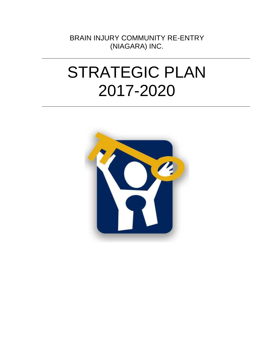BRAIN INJURY COMMUNITY RE-ENTRY (NIAGARA) INC.

# STRATEGIC PLAN 2017-2020

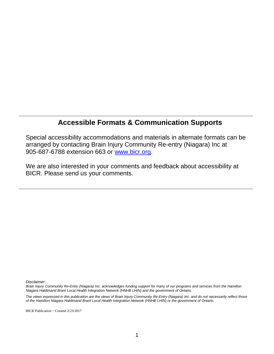#### **Accessible Formats & Communication Supports**

Special accessibility accommodations and materials in alternate formats can be arranged by contacting Brain Injury Community Re-entry (Niagara) Inc at 905-687-6788 extension 663 or [www.bicr.org.](http://www.bicr.org/)

We are also interested in your comments and feedback about accessibility at BICR. Please send us your comments.

*Disclaimer:*

*Brain Injury Community Re-Entry (Niagara) Inc. acknowledges funding support for many of our programs and services from the Hamilton Niagara Haldimand Brant Local Health Integration Network (HNHB LHIN) and the government of Ontario.* 

*The views expressed in this publication are the views of Brain Injury Community Re-Entry (Niagara) Inc. and do not necessarily reflect those of the Hamilton Niagara Haldimand Brant Local Health Integration Network (HNHB LHIN) or the government of Ontario.* 

BICR Publication ~ Created 2/23/2017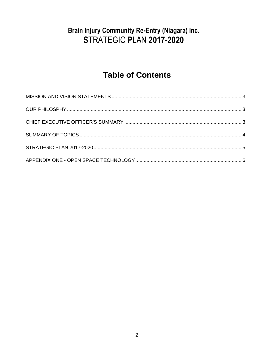#### **Brain Injury Community Re-Entry (Niagara) Inc.** STRATEGIC PLAN 2017-2020

## **Table of Contents**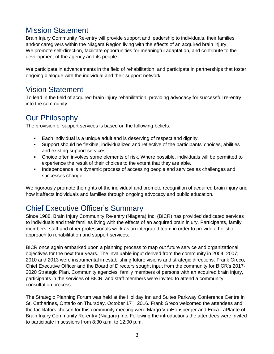#### Mission Statement

Brain Injury Community Re-entry will provide support and leadership to individuals, their families and/or caregivers within the Niagara Region living with the effects of an acquired brain injury. We promote self-direction, facilitate opportunities for meaningful adaptation, and contribute to the development of the agency and its people.

We participate in advancements in the field of rehabilitation, and participate in partnerships that foster ongoing dialogue with the individual and their support network.

#### Vision Statement

To lead in the field of acquired brain injury rehabilitation, providing advocacy for successful re-entry into the community.

#### Our Philosophy

The provision of support services is based on the following beliefs:

- Each individual is a unique adult and is deserving of respect and dignity.
- Support should be flexible, individualized and reflective of the participants' choices, abilities and existing support services.
- Choice often involves some elements of risk. Where possible, individuals will be permitted to experience the result of their choices to the extent that they are able.
- Independence is a dynamic process of accessing people and services as challenges and successes change.

We rigorously promote the rights of the individual and promote recognition of acquired brain injury and how it affects individuals and families through ongoing advocacy and public education.

#### Chief Executive Officer's Summary

Since 1988, Brain Injury Community Re-entry (Niagara) Inc. (BICR) has provided dedicated services to individuals and their families living with the effects of an acquired brain injury. Participants, family members, staff and other professionals work as an integrated team in order to provide a holistic approach to rehabilitation and support services.

BICR once again embarked upon a planning process to map out future service and organizational objectives for the next four years. The invaluable input derived from the community in 2004, 2007, 2010 and 2013 were instrumental in establishing future visions and strategic directions. Frank Greco, Chief Executive Officer and the Board of Directors sought input from the community for BICR's 2017- 2020 Strategic Plan. Community agencies, family members of persons with an acquired brain injury, participants in the services of BICR, and staff members were invited to attend a community consultation process.

The Strategic Planning Forum was held at the Holiday Inn and Suites Parkway Conference Centre in St. Catharines, Ontario on Thursday, October 17<sup>th</sup>, 2016. Frank Greco welcomed the attendees and the facilitators chosen for this community meeting were Margo VanHonsberger and Erica LaPlante of Brain Injury Community Re-entry (Niagara) Inc. Following the introductions the attendees were invited to participate in sessions from 8:30 a.m. to 12:00 p.m.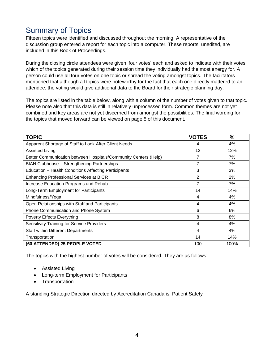#### Summary of Topics

Fifteen topics were identified and discussed throughout the morning. A representative of the discussion group entered a report for each topic into a computer. These reports, unedited, are included in this Book of Proceedings.

During the closing circle attendees were given 'four votes' each and asked to indicate with their votes which of the topics generated during their session time they individually had the most energy for. A person could use all four votes on one topic or spread the voting amongst topics. The facilitators mentioned that although all topics were noteworthy for the fact that each one directly mattered to an attendee, the voting would give additional data to the Board for their strategic planning day.

The topics are listed in the table below, along with a column of the number of votes given to that topic. Please note also that this data is still in relatively unprocessed form. Common themes are not yet combined and key areas are not yet discerned from amongst the possibilities. The final wording for the topics that moved forward can be viewed on page 5 of this document.

| <b>TOPIC</b>                                                    | <b>VOTES</b>   | $\frac{0}{0}$ |
|-----------------------------------------------------------------|----------------|---------------|
| Apparent Shortage of Staff to Look After Client Needs           | 4              | 4%            |
| <b>Assisted Living</b>                                          | 12             | 12%           |
| Better Communication between Hospitals/Community Centers (Help) |                | 7%            |
| <b>BIAN Clubhouse - Strengthening Partnerships</b>              | 7              | 7%            |
| Education - Health Conditions Affecting Participants            | 3              | 3%            |
| <b>Enhancing Professional Services at BICR</b>                  | $\overline{2}$ | 2%            |
| Increase Education Programs and Rehab                           | 7              | 7%            |
| Long-Term Employment for Participants                           | 14             | 14%           |
| Mindfulness/Yoga                                                | 4              | 4%            |
| Open Relationships with Staff and Participants                  | 4              | 4%            |
| Phone Communication and Phone System                            | 6              | 6%            |
| <b>Poverty Effects Everything</b>                               | 8              | 8%            |
| <b>Sensitivity Training for Service Providers</b>               | 4              | 4%            |
| <b>Staff within Different Departments</b>                       | 4              | 4%            |
| Transportation                                                  | 14             | 14%           |
| (60 ATTENDED) 25 PEOPLE VOTED                                   | 100            | 100%          |

The topics with the highest number of votes will be considered. They are as follows:

- **•** Assisted Living
- Long-term Employment for Participants
- Transportation

A standing Strategic Direction directed by Accreditation Canada is: Patient Safety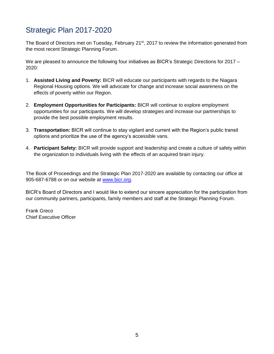#### Strategic Plan 2017-2020

The Board of Directors met on Tuesday, February 21<sup>st</sup>, 2017 to review the information generated from the most recent Strategic Planning Forum.

We are pleased to announce the following four initiatives as BICR's Strategic Directions for 2017 – 2020:

- 1. **Assisted Living and Poverty:** BICR will educate our participants with regards to the Niagara Regional Housing options. We will advocate for change and increase social awareness on the effects of poverty within our Region.
- 2. **Employment Opportunities for Participants:** BICR will continue to explore employment opportunities for our participants. We will develop strategies and increase our partnerships to provide the best possible employment results.
- 3. **Transportation:** BICR will continue to stay vigilant and current with the Region's public transit options and prioritize the use of the agency's accessible vans.
- 4. **Participant Safety:** BICR will provide support and leadership and create a culture of safety within the organization to individuals living with the effects of an acquired brain injury.

The Book of Proceedings and the Strategic Plan 2017-2020 are available by contacting our office at 905-687-6788 or on our website at [www.bicr.org.](http://www.bicr.org/)

BICR's Board of Directors and I would like to extend our sincere appreciation for the participation from our community partners, participants, family members and staff at the Strategic Planning Forum.

Frank Greco Chief Executive Officer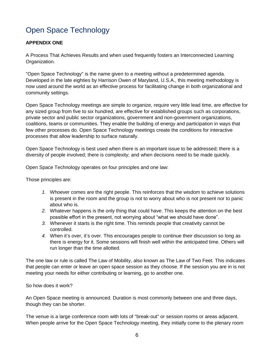### Open Space Technology

#### **APPENDIX ONE**

A Process That Achieves Results and when used frequently fosters an Interconnected Learning Organization.

"Open Space Technology" is the name given to a meeting without a predetermined agenda. Developed in the late eighties by Harrison Owen of Maryland, U.S.A., this meeting methodology is now used around the world as an effective process for facilitating change in both organizational and community settings.

Open Space Technology meetings are simple to organize, require very little lead time, are effective for any sized group from five to six hundred, are effective for established groups such as corporations, private sector and public sector organizations, government and non-government organizations, coalitions, teams or communities. They enable the building of energy and participation in ways that few other processes do. Open Space Technology meetings create the conditions for interactive processes that allow leadership to surface naturally.

Open Space Technology is best used when there is an important issue to be addressed; there is a diversity of people involved; there is complexity; and when decisions need to be made quickly.

Open Space Technology operates on four principles and one law:

Those principles are:

- *1.* Whoever comes are the right people. This reinforces that the wisdom to achieve solutions is present in the room and the group is not to worry about who is not present nor to panic about who is.
- *2.* Whatever happens is the only thing that could have. This keeps the attention on the best possible effort in the present, not worrying about "what we should have done".
- *3.* Whenever it starts is the right time. This reminds people that creativity cannot be controlled.
- *4.* When it's over, it's over. This encourages people to continue their discussion so long as there is energy for it. Some sessions will finish well within the anticipated time. Others will run longer than the time allotted.

The one law or rule is called The Law of Mobility, also known as The Law of Two Feet. This indicates that people can enter or leave an open space session as they choose. If the session you are in is not meeting your needs for either contributing or learning, go to another one.

So how does it work?

An Open Space meeting is announced. Duration is most commonly between one and three days, though they can be shorter.

The venue is a large conference room with lots of "break-out" or session rooms or areas adjacent. When people arrive for the Open Space Technology meeting, they initially come to the plenary room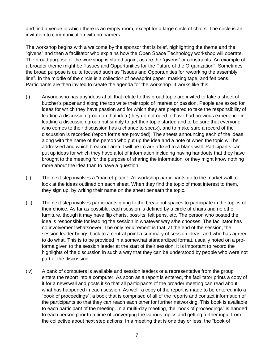and find a venue in which there is an empty room, except for a large circle of chairs. The circle is an invitation to communication with no barriers.

The workshop begins with a welcome by the sponsor that is brief, highlighting the theme and the "givens" and then a facilitator who explains how the Open Space Technology workshop will operate. The broad purpose of the workshop is stated again, as are the "givens" or constraints. An example of a broader theme might be "Issues and Opportunities for the Future of the Organization". Sometimes the broad purpose is quite focused such as "Issues and Opportunities for reworking the assembly line". In the middle of the circle is a collection of newsprint paper, masking tape, and felt pens. Participants are then invited to create the agenda for the workshop. It works like this.

- (i) Anyone who has any ideas at all that relate to this broad topic are invited to take a sheet of butcher's paper and along the top write their topic of interest or passion. People are asked for ideas for which they have passion and for which they are prepared to take the responsibility of leading a discussion group on that idea (they do not need to have had previous experience in leading a discussion group but simply to get their topic started and to be sure that everyone who comes to their discussion has a chance to speak), and to make sure a record of the discussion is recorded (report forms are provided). The sheets announcing each of the ideas, along with the name of the person who put up the idea and a note of when the topic will be addressed and which breakout area it will be in) are affixed to a blank wall. Participants can put up ideas for which they have a lot of information including having handouts that they have brought to the meeting for the purpose of sharing the information, or they might know nothing more about the idea than to have a question.
- (ii) The next step involves a "market-place". All workshop participants go to the market wall to look at the ideas outlined on each sheet. When they find the topic of most interest to them, they sign up, by writing their name on the sheet beneath the topic.
- (iii) The next step involves participants going to the break out spaces to participate in the topics of their choice. As far as possible, each session is defined by a circle of chairs and no other furniture, though it may have flip charts, post-its, felt pens, etc. The person who posted the idea is responsible for leading the session in whatever way s/he chooses. The facilitator has no involvement whatsoever. The only requirement is that, at the end of the session, the session leader brings back to a central point a summary of session ideas, and who has agreed to do what. This is to be provided in a somewhat standardized format, usually noted on a proforma given to the session leader at the start of their session. It is important to record the highlights of the discussion in such a way that they can be understood by people who were not part of the discussion.
- (iv) A bank of computers is available and session leaders or a representative from the group enters the report into a computer. As soon as a report is entered, the facilitator prints a copy of it for a newswall and posts it so that all participants of the broader meeting can read about what has happened in each session. As well, a copy of the report is made to be entered into a "book of proceedings", a book that is comprised of all of the reports and contact information of the participants so that they can reach each other for further networking. This book is available to each participant of the meeting. In a multi-day meeting, the "book of proceedings" is handed to each person prior to a time of converging the various topics and getting further input from the collective about next step actions. In a meeting that is one day or less, the "book of